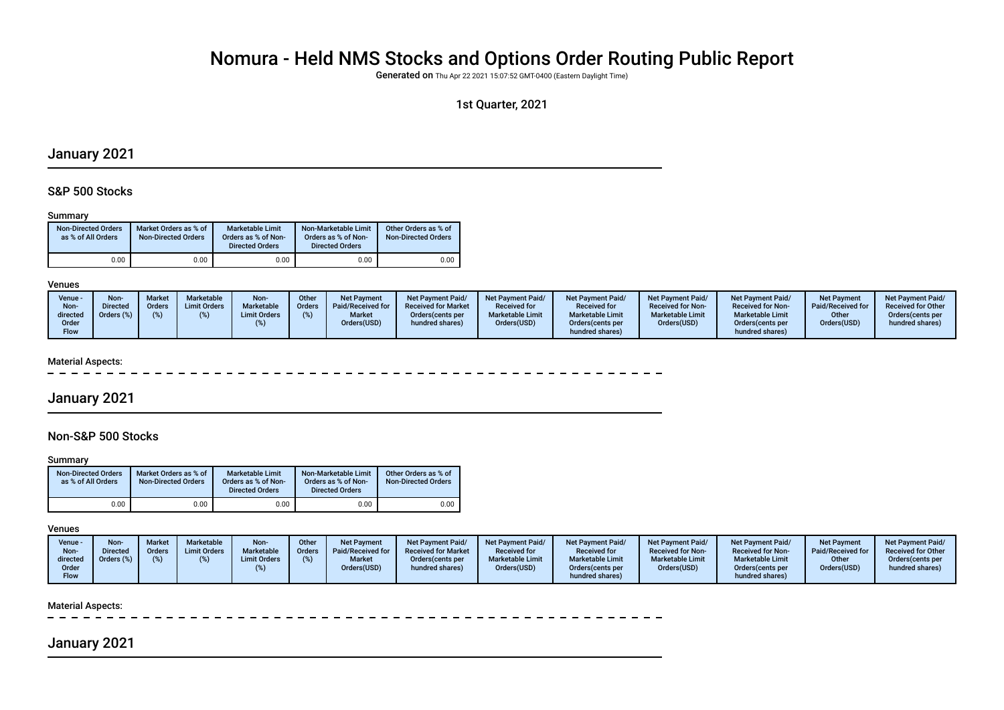# Nomura - Held NMS Stocks and Options Order Routing Public Report

Generated on Thu Apr 22 2021 15:07:52 GMT-0400 (Eastern Daylight Time)

## 1st Quarter, 2021

## January 2021

## S&P 500 Stocks

#### Summary

| <b>Non-Directed Orders</b><br>as % of All Orders | Market Orders as % of<br><b>Non-Directed Orders</b> | Marketable Limit<br>Orders as % of Non-<br><b>Directed Orders</b> | Non-Marketable Limit<br>Orders as % of Non-<br><b>Directed Orders</b> | Other Orders as % of<br><b>Non-Directed Orders</b> |
|--------------------------------------------------|-----------------------------------------------------|-------------------------------------------------------------------|-----------------------------------------------------------------------|----------------------------------------------------|
| 0.00                                             | 0.00                                                | 0.00                                                              | 0.00                                                                  | 0.00                                               |

#### Venues

| Venue -<br>Non-<br>directed<br>Order | Non-<br><b>Directed</b><br>Orders (%) | <b>Market</b><br><b>Orders</b> | Marketable<br><b>Limit Orders</b> | Non-<br>Marketable<br><b>Limit Orders</b> | Other<br><b>Orders</b> | <b>Net Payment</b><br>Paid/Received for<br><b>Market</b><br>Orders(USD) | <b>Net Payment Paid/</b><br><b>Received for Market</b><br>Orders (cents per<br>hundred shares) | <b>Net Payment Paid/</b><br><b>Received for</b><br><b>Marketable Limit</b><br>Orders(USD) | <b>Net Payment Paid/</b><br><b>Received for</b><br><b>Marketable Limit</b><br>Orders (cents per | <b>Net Payment Paid/</b><br><b>Received for Non-</b><br><b>Marketable Limit</b><br>Orders(USD) | Net Payment Paid/<br><b>Received for Non-</b><br><b>Marketable Limit</b><br>Orders (cents per | <b>Net Payment</b><br>Paid/Received for<br>Other<br>Orders(USD) | <b>Net Payment Paid/</b><br><b>Received for Other</b><br>Orders (cents per<br>hundred shares) |
|--------------------------------------|---------------------------------------|--------------------------------|-----------------------------------|-------------------------------------------|------------------------|-------------------------------------------------------------------------|------------------------------------------------------------------------------------------------|-------------------------------------------------------------------------------------------|-------------------------------------------------------------------------------------------------|------------------------------------------------------------------------------------------------|-----------------------------------------------------------------------------------------------|-----------------------------------------------------------------|-----------------------------------------------------------------------------------------------|
| Flow                                 |                                       |                                |                                   |                                           |                        |                                                                         |                                                                                                |                                                                                           | hundred shares)                                                                                 |                                                                                                | hundred shares)                                                                               |                                                                 |                                                                                               |

#### Material Aspects:

## January 2021

## Non-S&P 500 Stocks

#### **Summary**

| <b>Non-Directed Orders</b><br>as % of All Orders | Market Orders as % of<br><b>Non-Directed Orders</b> | Marketable Limit<br>Orders as % of Non-<br><b>Directed Orders</b> | Non-Marketable Limit<br>Orders as % of Non-<br><b>Directed Orders</b> | Other Orders as % of<br><b>Non-Directed Orders</b> |
|--------------------------------------------------|-----------------------------------------------------|-------------------------------------------------------------------|-----------------------------------------------------------------------|----------------------------------------------------|
| 0.00                                             | 0.00                                                | 0.00                                                              | $0.00\,$                                                              | 0.00                                               |

## Venues

| Venue -<br>Non-<br>directed | Non-<br><b>Directed</b><br>Orders (%) | Marke<br>Orders | <b>Marketable</b><br><b>Limit Orders</b> | Non-<br>Marketable<br><b>Limit Orders</b> | Other<br><b>Orders</b> | <b>Net Payment</b><br>Paid/Received for<br><b>Market</b> | <b>Net Payment Paid/</b><br><b>Received for Market</b><br>Orders (cents per | <b>Net Payment Paid/</b><br><b>Received for</b><br><b>Marketable Limit</b> | <b>Net Payment Paid/</b><br><b>Received for</b><br><b>Marketable Limit</b> | <b>Net Payment Paid/</b><br><b>Received for Non-</b><br><b>Marketable Limit</b> | <b>Net Payment Paid/</b><br><b>Received for Non-</b><br><b>Marketable Limit</b> | <b>Net Payment</b><br>Paid/Received for<br>Other | <b>Net Payment Paid/</b><br><b>Received for Other</b><br>Orders(cents per |
|-----------------------------|---------------------------------------|-----------------|------------------------------------------|-------------------------------------------|------------------------|----------------------------------------------------------|-----------------------------------------------------------------------------|----------------------------------------------------------------------------|----------------------------------------------------------------------------|---------------------------------------------------------------------------------|---------------------------------------------------------------------------------|--------------------------------------------------|---------------------------------------------------------------------------|
| Order                       |                                       |                 |                                          |                                           |                        | Orders(USD)                                              | hundred shares)                                                             | Orders(USD)                                                                | Orders (cents per                                                          | Orders(USD)                                                                     | Orders(cents per                                                                | Orders(USD)                                      | hundred shares)                                                           |
| <b>Flow</b>                 |                                       |                 |                                          |                                           |                        |                                                          |                                                                             |                                                                            | hundred shares)                                                            |                                                                                 | hundred shares)                                                                 |                                                  |                                                                           |

#### Material Aspects:

## January 2021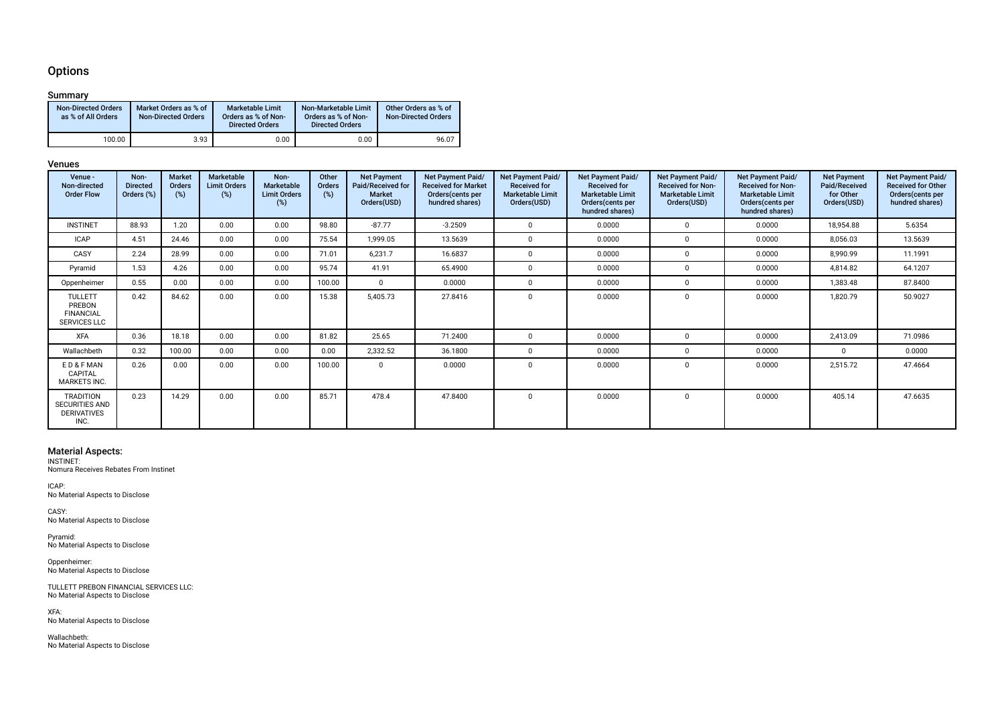## **Options**

## Summary

| <b>Non-Directed Orders</b><br>as % of All Orders | Market Orders as % of<br><b>Non-Directed Orders</b> | <b>Marketable Limit</b><br>Orders as % of Non-<br><b>Directed Orders</b> | Non-Marketable Limit<br>Orders as % of Non-<br><b>Directed Orders</b> | Other Orders as % of<br><b>Non-Directed Orders</b> |
|--------------------------------------------------|-----------------------------------------------------|--------------------------------------------------------------------------|-----------------------------------------------------------------------|----------------------------------------------------|
| 100.00                                           | 3.93                                                | 0.00                                                                     | 0.00                                                                  | 96.07                                              |

#### Venues

| Venue -<br>Non-directed<br><b>Order Flow</b>                            | Non-<br><b>Directed</b><br>Orders (%) | <b>Market</b><br>Orders<br>(%) | Marketable<br><b>Limit Orders</b><br>(%) | Non-<br>Marketable<br><b>Limit Orders</b><br>(%) | Other<br><b>Orders</b><br>(%) | <b>Net Payment</b><br>Paid/Received for<br><b>Market</b><br>Orders(USD) | Net Payment Paid/<br><b>Received for Market</b><br>Orders (cents per<br>hundred shares) | <b>Net Payment Paid/</b><br><b>Received for</b><br><b>Marketable Limit</b><br>Orders(USD) | Net Payment Paid/<br><b>Received for</b><br><b>Marketable Limit</b><br>Orders (cents per<br>hundred shares) | Net Payment Paid/<br><b>Received for Non-</b><br><b>Marketable Limit</b><br>Orders(USD) | Net Payment Paid/<br><b>Received for Non-</b><br><b>Marketable Limit</b><br>Orders(cents per<br>hundred shares) | <b>Net Payment</b><br>Paid/Received<br>for Other<br>Orders(USD) | Net Payment Paid/<br><b>Received for Other</b><br>Orders(cents per<br>hundred shares) |
|-------------------------------------------------------------------------|---------------------------------------|--------------------------------|------------------------------------------|--------------------------------------------------|-------------------------------|-------------------------------------------------------------------------|-----------------------------------------------------------------------------------------|-------------------------------------------------------------------------------------------|-------------------------------------------------------------------------------------------------------------|-----------------------------------------------------------------------------------------|-----------------------------------------------------------------------------------------------------------------|-----------------------------------------------------------------|---------------------------------------------------------------------------------------|
| <b>INSTINET</b>                                                         | 88.93                                 | 1.20                           | 0.00                                     | 0.00                                             | 98.80                         | $-87.77$                                                                | $-3.2509$                                                                               | $\mathbf{0}$                                                                              | 0.0000                                                                                                      | $^{\circ}$                                                                              | 0.0000                                                                                                          | 18,954.88                                                       | 5.6354                                                                                |
| <b>ICAP</b>                                                             | 4.51                                  | 24.46                          | 0.00                                     | 0.00                                             | 75.54                         | 1,999.05                                                                | 13.5639                                                                                 | $\overline{0}$                                                                            | 0.0000                                                                                                      | $^{\circ}$                                                                              | 0.0000                                                                                                          | 8,056.03                                                        | 13.5639                                                                               |
| CASY                                                                    | 2.24                                  | 28.99                          | 0.00                                     | 0.00                                             | 71.01                         | 6,231.7                                                                 | 16.6837                                                                                 | $\mathbf{0}$                                                                              | 0.0000                                                                                                      | $\mathbf 0$                                                                             | 0.0000                                                                                                          | 8,990.99                                                        | 11.1991                                                                               |
| Pyramid                                                                 | 1.53                                  | 4.26                           | 0.00                                     | 0.00                                             | 95.74                         | 41.91                                                                   | 65.4900                                                                                 | $\Omega$                                                                                  | 0.0000                                                                                                      | $\Omega$                                                                                | 0.0000                                                                                                          | 4,814.82                                                        | 64.1207                                                                               |
| Oppenheimer                                                             | 0.55                                  | 0.00                           | 0.00                                     | 0.00                                             | 100.00                        | $\Omega$                                                                | 0.0000                                                                                  | $\Omega$                                                                                  | 0.0000                                                                                                      | $\Omega$                                                                                | 0.0000                                                                                                          | 1,383.48                                                        | 87.8400                                                                               |
| <b>TULLETT</b><br>PREBON<br><b>FINANCIAL</b><br><b>SERVICES LLC</b>     | 0.42                                  | 84.62                          | 0.00                                     | 0.00                                             | 15.38                         | 5,405.73                                                                | 27.8416                                                                                 | $\Omega$                                                                                  | 0.0000                                                                                                      | $\Omega$                                                                                | 0.0000                                                                                                          | 1,820.79                                                        | 50.9027                                                                               |
| <b>XFA</b>                                                              | 0.36                                  | 18.18                          | 0.00                                     | 0.00                                             | 81.82                         | 25.65                                                                   | 71.2400                                                                                 | $\mathbf{0}$                                                                              | 0.0000                                                                                                      | $\Omega$                                                                                | 0.0000                                                                                                          | 2,413.09                                                        | 71.0986                                                                               |
| Wallachbeth                                                             | 0.32                                  | 100.00                         | 0.00                                     | 0.00                                             | 0.00                          | 2,332.52                                                                | 36.1800                                                                                 | $\mathbf{0}$                                                                              | 0.0000                                                                                                      | $\Omega$                                                                                | 0.0000                                                                                                          | $\mathbf{0}$                                                    | 0.0000                                                                                |
| ED&FMAN<br>CAPITAL<br><b>MARKETS INC.</b>                               | 0.26                                  | 0.00                           | 0.00                                     | 0.00                                             | 100.00                        | $\mathbf 0$                                                             | 0.0000                                                                                  | $\Omega$                                                                                  | 0.0000                                                                                                      | $\Omega$                                                                                | 0.0000                                                                                                          | 2,515.72                                                        | 47.4664                                                                               |
| <b>TRADITION</b><br><b>SECURITIES AND</b><br><b>DERIVATIVES</b><br>INC. | 0.23                                  | 14.29                          | 0.00                                     | 0.00                                             | 85.71                         | 478.4                                                                   | 47.8400                                                                                 | $\Omega$                                                                                  | 0.0000                                                                                                      | $\Omega$                                                                                | 0.0000                                                                                                          | 405.14                                                          | 47.6635                                                                               |

Material Aspects: INSTINET: Nomura Receives Rebates From Instinet

ICAP: No Material Aspects to Disclose

CASY: No Material Aspects to Disclose

Pyramid: No Material Aspects to Disclose

Oppenheimer: No Material Aspects to Disclose

TULLETT PREBON FINANCIAL SERVICES LLC: No Material Aspects to Disclose

XFA: No Material Aspects to Disclose

Wallachbeth: No Material Aspects to Disclose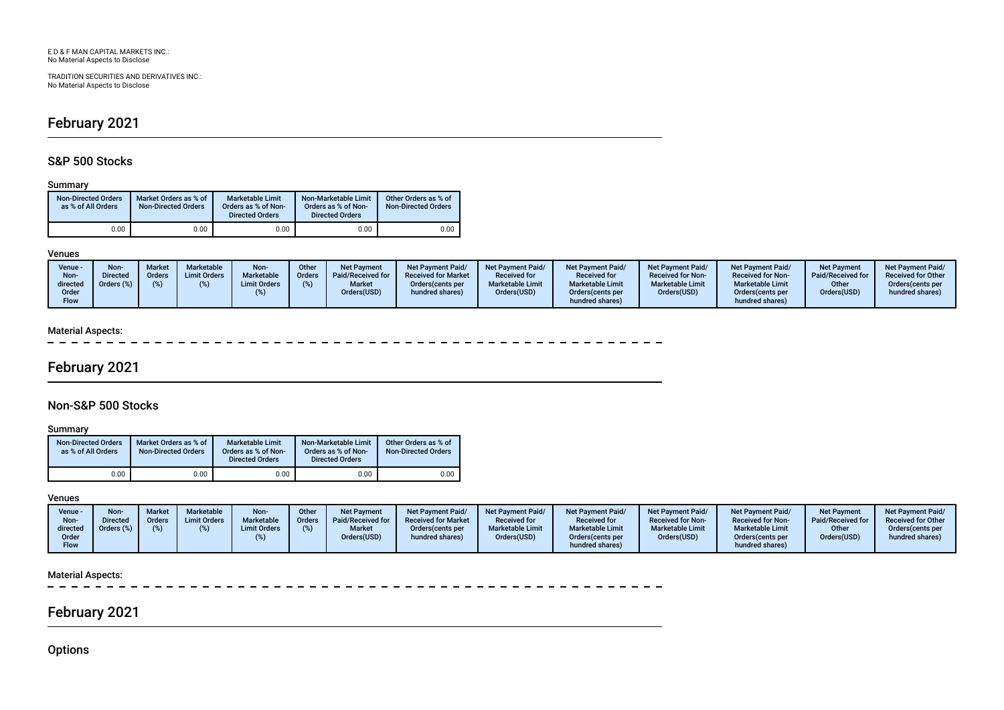TRADITION SECURITIES AND DERIVATIVES INC.: No Material Aspects to Disclose

# February 2021

## S&P 500 Stocks

#### Summary

| <b>Non-Directed Orders</b><br>as % of All Orders | Market Orders as % of<br><b>Non-Directed Orders</b> | Marketable Limit<br>Orders as % of Non-<br><b>Directed Orders</b> | Non-Marketable Limit<br>Orders as % of Non-<br><b>Directed Orders</b> | Other Orders as % of<br><b>Non-Directed Orders</b> |
|--------------------------------------------------|-----------------------------------------------------|-------------------------------------------------------------------|-----------------------------------------------------------------------|----------------------------------------------------|
| 0.00                                             | 0.00                                                | 0.00                                                              | 0.00                                                                  | 0.00                                               |

### Venues

| Venue -<br>Non-<br>directed<br>Order<br>Flow | Non-<br><b>Directed</b><br>Orders (%) | <b>Market</b><br><b>Orders</b> | <b>Marketable</b><br><b>Limit Orders</b> | Non-<br><b>Marketable</b><br><b>Limit Orders</b> | Other<br>Orders | <b>Net Payment</b><br>Paid/Received for<br><b>Market</b><br>Orders(USD) | <b>Net Payment Paid/</b><br><b>Received for Market</b><br>Orders (cents per<br>hundred shares) | <b>Net Payment Paid/</b><br><b>Received for</b><br><b>Marketable Limit</b><br>Orders(USD) | <b>Net Payment Paid/</b><br><b>Received for</b><br><b>Marketable Limit</b><br>Orders (cents per<br>hundred shares) | Net Payment Paid/<br><b>Received for Non-</b><br><b>Marketable Limit</b><br>Orders(USD) | <b>Net Payment Paid/</b><br><b>Received for Non-</b><br><b>Marketable Limit</b><br>Orders(cents per<br>hundred shares) | <b>Net Payment</b><br>Paid/Received for<br>Other<br>Orders(USD) | <b>Net Payment Paid/</b><br><b>Received for Other</b><br>Orders (cents per<br>hundred shares) |
|----------------------------------------------|---------------------------------------|--------------------------------|------------------------------------------|--------------------------------------------------|-----------------|-------------------------------------------------------------------------|------------------------------------------------------------------------------------------------|-------------------------------------------------------------------------------------------|--------------------------------------------------------------------------------------------------------------------|-----------------------------------------------------------------------------------------|------------------------------------------------------------------------------------------------------------------------|-----------------------------------------------------------------|-----------------------------------------------------------------------------------------------|
|----------------------------------------------|---------------------------------------|--------------------------------|------------------------------------------|--------------------------------------------------|-----------------|-------------------------------------------------------------------------|------------------------------------------------------------------------------------------------|-------------------------------------------------------------------------------------------|--------------------------------------------------------------------------------------------------------------------|-----------------------------------------------------------------------------------------|------------------------------------------------------------------------------------------------------------------------|-----------------------------------------------------------------|-----------------------------------------------------------------------------------------------|

## Material Aspects:

 $\sim$ 

# February 2021

## Non-S&P 500 Stocks

Summary

| <b>Non-Directed Orders</b><br>as % of All Orders | Market Orders as % of<br><b>Non-Directed Orders</b> | Marketable Limit<br>Orders as % of Non-<br><b>Directed Orders</b> | Non-Marketable Limit<br>Orders as % of Non-<br><b>Directed Orders</b> | Other Orders as % of<br><b>Non-Directed Orders</b> |
|--------------------------------------------------|-----------------------------------------------------|-------------------------------------------------------------------|-----------------------------------------------------------------------|----------------------------------------------------|
| 0.00                                             | 0.00                                                | 0.00                                                              | 0.00                                                                  | 0.00                                               |

## Venues

| Venue -<br>Non-<br>directed<br>Order<br>Flow | Non<br><b>Directed</b><br>Orders (%) | <b>Market</b><br><b>Orders</b><br>(% ) | Marketable<br><b>Limit Orders</b> | Non-<br>Marketable<br><b>Limit Orders</b> | Other<br><b>Orders</b> | <b>Net Payment</b><br>Paid/Received for<br><b>Market</b><br>Orders(USD) | <b>Net Payment Paid/</b><br><b>Received for Market</b><br>Orders (cents per<br>hundred shares) | <b>Net Payment Paid/</b><br><b>Received for</b><br><b>Marketable Limit</b><br>Orders(USD) | <b>Net Payment Paid/</b><br><b>Received for</b><br><b>Marketable Limit</b><br>Orders (cents per<br>hundred shares) | <b>Net Payment Paid/</b><br><b>Received for Non-</b><br><b>Marketable Limit</b><br>Orders(USD) | Net Payment Paid/<br><b>Received for Non-</b><br><b>Marketable Limit</b><br>Orders(cents per<br>hundred shares) | <b>Net Payment</b><br>Paid/Received for<br>Other<br>Orders(USD) | <b>Net Payment Paid/</b><br><b>Received for Other</b><br>Orders (cents per<br>hundred shares) |
|----------------------------------------------|--------------------------------------|----------------------------------------|-----------------------------------|-------------------------------------------|------------------------|-------------------------------------------------------------------------|------------------------------------------------------------------------------------------------|-------------------------------------------------------------------------------------------|--------------------------------------------------------------------------------------------------------------------|------------------------------------------------------------------------------------------------|-----------------------------------------------------------------------------------------------------------------|-----------------------------------------------------------------|-----------------------------------------------------------------------------------------------|
|----------------------------------------------|--------------------------------------|----------------------------------------|-----------------------------------|-------------------------------------------|------------------------|-------------------------------------------------------------------------|------------------------------------------------------------------------------------------------|-------------------------------------------------------------------------------------------|--------------------------------------------------------------------------------------------------------------------|------------------------------------------------------------------------------------------------|-----------------------------------------------------------------------------------------------------------------|-----------------------------------------------------------------|-----------------------------------------------------------------------------------------------|

## Material Aspects:

 $=$   $=$   $\frac{1}{2} \frac{1}{2} \frac{1}{2} \frac{1}{2} \frac{1}{2} \frac{1}{2} \frac{1}{2} \frac{1}{2} \frac{1}{2} \frac{1}{2} \frac{1}{2} \frac{1}{2} \frac{1}{2} \frac{1}{2} \frac{1}{2} \frac{1}{2} \frac{1}{2} \frac{1}{2} \frac{1}{2} \frac{1}{2} \frac{1}{2} \frac{1}{2} \frac{1}{2} \frac{1}{2} \frac{1}{2} \frac{1}{2} \frac{1}{2} \frac{1}{2} \frac{1}{2} \frac{1}{2} \frac{1}{2} \frac{$  $\overline{\phantom{0}}$ 

# February 2021

**Options** 

 $\overline{\phantom{a}}$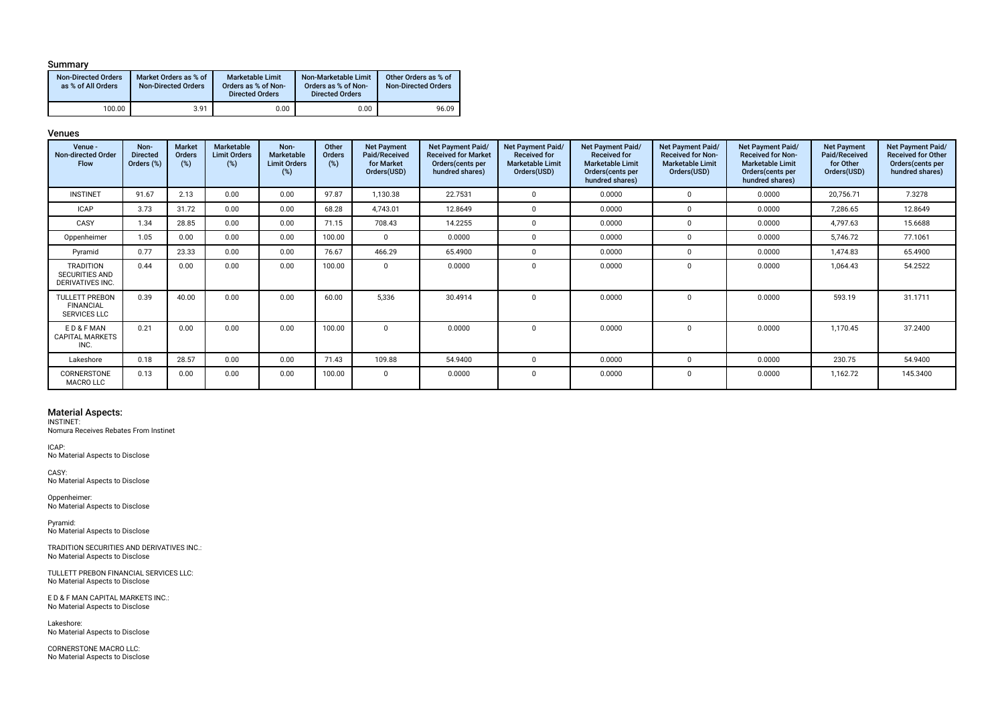#### Summary

| <b>Non-Directed Orders</b><br>as % of All Orders | Market Orders as % of<br>Non-Directed Orders | <b>Marketable Limit</b><br>Orders as % of Non-<br><b>Directed Orders</b> | Non-Marketable Limit<br>Orders as % of Non-<br><b>Directed Orders</b> | Other Orders as % of<br><b>Non-Directed Orders</b> |
|--------------------------------------------------|----------------------------------------------|--------------------------------------------------------------------------|-----------------------------------------------------------------------|----------------------------------------------------|
| 100.00                                           | 3.91                                         | 0.00                                                                     | 0.00                                                                  | 96.09                                              |

#### Venues

| Venue -<br>Non-directed Order<br><b>Flow</b>                     | Non-<br><b>Directed</b><br>Orders (%) | Market<br>Orders<br>(%) | <b>Marketable</b><br><b>Limit Orders</b><br>(%) | Non-<br>Marketable<br><b>Limit Orders</b><br>(%) | Other<br>Orders<br>(%) | <b>Net Payment</b><br>Paid/Received<br>for Market<br>Orders(USD) | Net Payment Paid/<br><b>Received for Market</b><br>Orders (cents per<br>hundred shares) | Net Payment Paid/<br><b>Received for</b><br><b>Marketable Limit</b><br>Orders(USD) | <b>Net Payment Paid/</b><br><b>Received for</b><br><b>Marketable Limit</b><br>Orders(cents per<br>hundred shares) | Net Payment Paid/<br><b>Received for Non-</b><br><b>Marketable Limit</b><br>Orders(USD) | Net Payment Paid/<br><b>Received for Non-</b><br><b>Marketable Limit</b><br>Orders (cents per<br>hundred shares) | <b>Net Payment</b><br>Paid/Received<br>for Other<br>Orders(USD) | Net Payment Paid/<br><b>Received for Other</b><br>Orders (cents per<br>hundred shares) |
|------------------------------------------------------------------|---------------------------------------|-------------------------|-------------------------------------------------|--------------------------------------------------|------------------------|------------------------------------------------------------------|-----------------------------------------------------------------------------------------|------------------------------------------------------------------------------------|-------------------------------------------------------------------------------------------------------------------|-----------------------------------------------------------------------------------------|------------------------------------------------------------------------------------------------------------------|-----------------------------------------------------------------|----------------------------------------------------------------------------------------|
| <b>INSTINET</b>                                                  | 91.67                                 | 2.13                    | 0.00                                            | 0.00                                             | 97.87                  | 1,130.38                                                         | 22.7531                                                                                 |                                                                                    | 0.0000                                                                                                            | $\Omega$                                                                                | 0.0000                                                                                                           | 20,756.71                                                       | 7.3278                                                                                 |
| <b>ICAP</b>                                                      | 3.73                                  | 31.72                   | 0.00                                            | 0.00                                             | 68.28                  | 4,743.01                                                         | 12.8649                                                                                 |                                                                                    | 0.0000                                                                                                            |                                                                                         | 0.0000                                                                                                           | 7,286.65                                                        | 12.8649                                                                                |
| CASY                                                             | 1.34                                  | 28.85                   | 0.00                                            | 0.00                                             | 71.15                  | 708.43                                                           | 14.2255                                                                                 |                                                                                    | 0.0000                                                                                                            |                                                                                         | 0.0000                                                                                                           | 4,797.63                                                        | 15.6688                                                                                |
| Oppenheimer                                                      | 1.05                                  | 0.00                    | 0.00                                            | 0.00                                             | 100.00                 | $\Omega$                                                         | 0.0000                                                                                  | $\Omega$                                                                           | 0.0000                                                                                                            |                                                                                         | 0.0000                                                                                                           | 5,746.72                                                        | 77.1061                                                                                |
| Pyramid                                                          | 0.77                                  | 23.33                   | 0.00                                            | 0.00                                             | 76.67                  | 466.29                                                           | 65.4900                                                                                 |                                                                                    | 0.0000                                                                                                            |                                                                                         | 0.0000                                                                                                           | 1,474.83                                                        | 65.4900                                                                                |
| <b>TRADITION</b><br><b>SECURITIES AND</b><br>DERIVATIVES INC.    | 0.44                                  | 0.00                    | 0.00                                            | 0.00                                             | 100.00                 | $\Omega$                                                         | 0.0000                                                                                  | $\Omega$                                                                           | 0.0000                                                                                                            | $\Omega$                                                                                | 0.0000                                                                                                           | 1,064.43                                                        | 54.2522                                                                                |
| <b>TULLETT PREBON</b><br><b>FINANCIAL</b><br><b>SERVICES LLC</b> | 0.39                                  | 40.00                   | 0.00                                            | 0.00                                             | 60.00                  | 5.336                                                            | 30.4914                                                                                 |                                                                                    | 0.0000                                                                                                            |                                                                                         | 0.0000                                                                                                           | 593.19                                                          | 31.1711                                                                                |
| ED&FMAN<br><b>CAPITAL MARKETS</b><br>INC.                        | 0.21                                  | 0.00                    | 0.00                                            | 0.00                                             | 100.00                 | $\Omega$                                                         | 0.0000                                                                                  | $\Omega$                                                                           | 0.0000                                                                                                            | $\Omega$                                                                                | 0.0000                                                                                                           | 1,170.45                                                        | 37.2400                                                                                |
| Lakeshore                                                        | 0.18                                  | 28.57                   | 0.00                                            | 0.00                                             | 71.43                  | 109.88                                                           | 54.9400                                                                                 |                                                                                    | 0.0000                                                                                                            |                                                                                         | 0.0000                                                                                                           | 230.75                                                          | 54.9400                                                                                |
| CORNERSTONE<br><b>MACRO LLC</b>                                  | 0.13                                  | 0.00                    | 0.00                                            | 0.00                                             | 100.00                 | $\Omega$                                                         | 0.0000                                                                                  | $\Omega$                                                                           | 0.0000                                                                                                            |                                                                                         | 0.0000                                                                                                           | 1,162.72                                                        | 145.3400                                                                               |

#### Material Aspects:

INSTINET:

Nomura Receives Rebates From Instinet

ICAP: No Material Aspects to Disclose

CASY: No Material Aspects to Disclose

Oppenheimer: No Material Aspects to Disclose

Pyramid: No Material Aspects to Disclose

TRADITION SECURITIES AND DERIVATIVES INC.: No Material Aspects to Disclose

TULLETT PREBON FINANCIAL SERVICES LLC: No Material Aspects to Disclose

E D & F MAN CAPITAL MARKETS INC.: No Material Aspects to Disclose

Lakeshore: No Material Aspects to Disclose

CORNERSTONE MACRO LLC: No Material Aspects to Disclose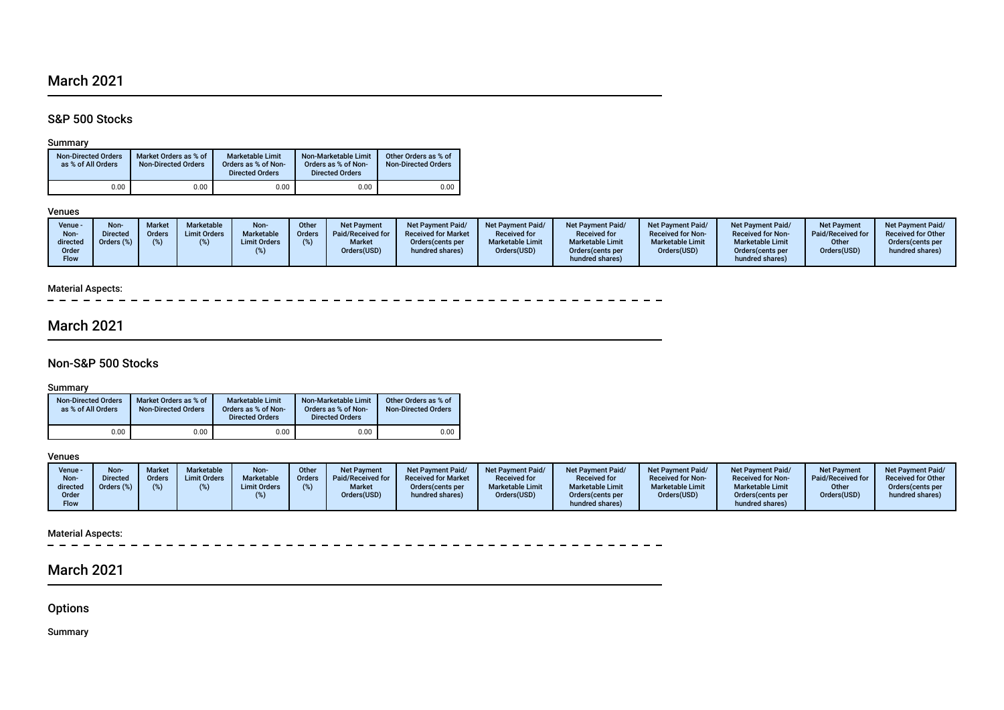# March 2021

## S&P 500 Stocks

## Summary

| <b>Non-Directed Orders</b><br>as % of All Orders | Market Orders as % of<br><b>Non-Directed Orders</b> | Marketable Limit<br>Orders as % of Non-<br><b>Directed Orders</b> | Non-Marketable Limit<br>Orders as % of Non-<br><b>Directed Orders</b> | Other Orders as % of<br><b>Non-Directed Orders</b> |  |  |
|--------------------------------------------------|-----------------------------------------------------|-------------------------------------------------------------------|-----------------------------------------------------------------------|----------------------------------------------------|--|--|
| 0.00                                             | 0.00                                                | 0.00                                                              | 0.00                                                                  | 0.00                                               |  |  |

## Venues

## Material Aspects:

 $\sim$   $\sim$ 

## March 2021

## Non-S&P 500 Stocks

Summary

| <b>Non-Directed Orders</b><br>as % of All Orders | Market Orders as % of<br><b>Non-Directed Orders</b> | <b>Marketable Limit</b><br>Orders as % of Non-<br><b>Directed Orders</b> | Non-Marketable Limit<br>Orders as % of Non-<br><b>Directed Orders</b> | Other Orders as % of<br><b>Non-Directed Orders</b> |  |  |
|--------------------------------------------------|-----------------------------------------------------|--------------------------------------------------------------------------|-----------------------------------------------------------------------|----------------------------------------------------|--|--|
| 0.00                                             | 0.00                                                | 0.00                                                                     | 0.00                                                                  | 0.00                                               |  |  |

## Venues

| Venue -<br>Non-<br>directed | Non-<br><b>Directed</b><br>Orders $(\%)$ | <b>Market</b><br>Orders | Marketable<br><b>Limit Orders</b> | Non-<br>Marketable<br><b>Limit Orders</b> | Other<br><b>Orders</b> | Net Payment<br>Paid/Received for<br><b>Market</b> | Net Payment Paid/<br><b>Received for Market</b><br>Orders (cents per | <b>Net Payment Paid/</b><br><b>Received for</b><br><b>Marketable Limit</b> | Net Payment Paid/<br><b>Received for</b><br><b>Marketable Limit</b> | <b>Net Payment Paid/</b><br><b>Received for Non-</b><br><b>Marketable Limit</b> | <b>Net Payment Paid/</b><br><b>Received for Non-</b><br><b>Marketable Limit</b> | <b>Net Payment</b><br>Paid/Received for<br>Other | <b>Net Payment Paid/</b><br><b>Received for Other</b><br>Orders (cents per |
|-----------------------------|------------------------------------------|-------------------------|-----------------------------------|-------------------------------------------|------------------------|---------------------------------------------------|----------------------------------------------------------------------|----------------------------------------------------------------------------|---------------------------------------------------------------------|---------------------------------------------------------------------------------|---------------------------------------------------------------------------------|--------------------------------------------------|----------------------------------------------------------------------------|
| Order<br>Flow               |                                          |                         |                                   |                                           |                        | Orders(USD)                                       | hundred shares)                                                      | Orders(USD)                                                                | Orders(cents per<br>hundred shares)                                 | Orders(USD)                                                                     | Orders(cents per<br>hundred shares)                                             | Orders(USD)                                      | hundred shares)                                                            |

# Material Aspects:<br> $- - - - -$

 $-$ 

# March 2021

**Options** 

Summary